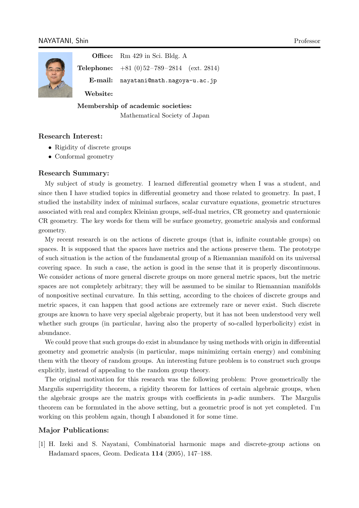

**Office:** Rm 429 in Sci. Bldg. A

**Telephone:** +81 (0) 52 – 789 – 2814 (ext. 2814)

**E-mail:** nayatani@math.nagoya-u.ac.jp

**Website:**

**Membership of academic societies:**

[Mathematical Society of Japan](nayatani@math.nagoya-u.ac.jp)

## **Research Interest:**

- Rigidity of discrete groups
- *•* Conformal geometry

#### **Research Summary:**

My subject of study is geometry. I learned differential geometry when I was a student, and since then I have studied topics in differential geometry and those related to geometry. In past, I studied the instability index of minimal surfaces, scalar curvature equations, geometric structures associated with real and complex Kleinian groups, self-dual metrics, CR geometry and quaternionic CR geometry. The key words for them will be surface geometry, geometric analysis and conformal geometry.

My recent research is on the actions of discrete groups (that is, infinite countable groups) on spaces. It is supposed that the spaces have metrics and the actions preserve them. The prototype of such situation is the action of the fundamental group of a Riemannian manifold on its universal covering space. In such a case, the action is good in the sense that it is properly discontinuous. We consider actions of more general discrete groups on more general metric spaces, but the metric spaces are not completely arbitrary; they will be assumed to be similar to Riemannian manifolds of nonpositive sectinal curvature. In this setting, according to the choices of discrete groups and metric spaces, it can happen that good actions are extremely rare or never exist. Such discrete groups are known to have very special algebraic property, but it has not been understood very well whether such groups (in particular, having also the property of so-called hyperbolicity) exist in abundance.

We could prove that such groups do exist in abundance by using methods with origin in differential geometry and geometric analysis (in particular, maps minimizing certain energy) and combining them with the theory of random groups. An interesting future problem is to construct such groups explicitly, instead of appealing to the random group theory.

The original motivation for this research was the following problem: Prove geometrically the Margulis superrigidity theorem, a rigidity theorem for lattices of certain algebraic groups, when the algebraic groups are the matrix groups with coefficients in *p*-adic numbers. The Margulis theorem can be formulated in the above setting, but a geometric proof is not yet completed. I'm working on this problem again, though I abandoned it for some time.

# **Major Publications:**

[1] H. Izeki and S. Nayatani, Combinatorial harmonic maps and discrete-group actions on Hadamard spaces, Geom. Dedicata **114** (2005), 147–188.